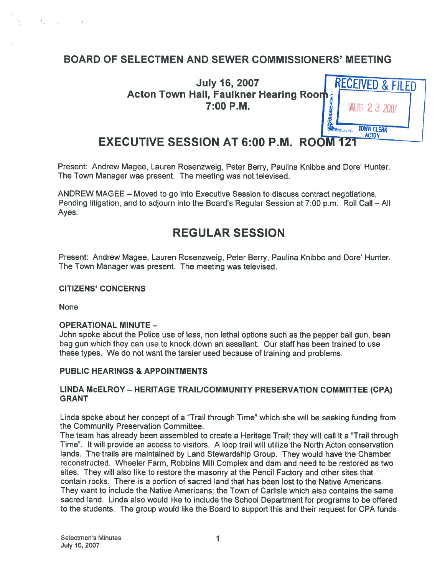# BOARD OF SELECTMEN AND SEWER COMMISSIONERS' MEETING

July 16, <sup>2007</sup> RECEIVED & FILED Acton Town Hall, Faulkner Hearing 7:00 P.M.



# EXECUTIVE SESSION AT 6:00 P.M. ROOM

Present: Andrew Magee, Lauren Rosenzweig, Peter Berry, Paulina Knibbe and Dore' Hunter. The Town Manager was present. The meeting was not televised.

ANDREW MAGEE — Moved to go into Executive Session to discuss contract negotiations, Pending litigation, and to adjourn into the Board's Regular Session at 7:00 p.m. Roll Call — All Ayes.

# REGULAR SESSION

Present: Andrew Magee, Lauren Rosenzweig, Peter Berry, Paulina Knibbe and Dote' Hunter. The Town Manager was present. The meeting was televised.

#### CITIZENS' CONCERNS

None

 $\mathcal{R}$ 

#### OPERATIONAL MINUTE —

John spoke about the Police use of less, non lethal options such as the pepper ball gun, bean bag gun which they can use to knock down an assailant. Our staff has been trained to use these types. We do not want the tarsier used because of training and problems.

#### PUBLIC HEARINGS & APPOINTMENTS

#### LINDA McELROY - HERITAGE TRAIL/COMMUNITY PRESERVATION COMMITTEE (CPA) GRANT

Linda spoke about her concep<sup>t</sup> of <sup>a</sup> "Trail through Time" which she will be seeking funding from the Community Preservation Committee.

The team has already been assembled to create <sup>a</sup> Heritage Trail; they will call it <sup>a</sup> "Trail through Time". It will provide an access to visitors. A loop trail will utilize the North Acton conservation lands. The trails are maintained by Land Stewardship Group. They would have the Chamber reconstructed. Wheeler Farm, Robbins Mill Complex and dam and need to be restored as two sites. They will also like to restore the masonry at the Pencil Factory and other sites that contain rocks. There is <sup>a</sup> portion of sacred land that has been lost to the Native Americans. They want to include the Native Americans; the Town of Carlisle which also contains the same sacred land. Linda also would like to include the School Department for programs to be offered to the students. The group would like the Board to suppor<sup>t</sup> this and their reques<sup>t</sup> for CPA funds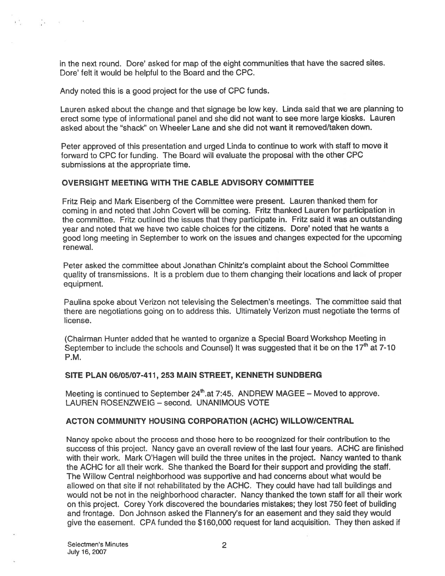in the next round. Dore' asked for map of the eight communities that have the sacred sites. Dore' felt it would be helpful to the Board and the CPC.

Andy noted this is <sup>a</sup> good project for the use of CPC funds.

Controlled the controller

Lauren asked about the change and that signage be low key. Linda said that we are <sup>p</sup>lanning to erect some type of informational pane<sup>l</sup> and she did not want to see more large kiosks. Lauren asked about the "shack" on Wheeler Lane and she did not want it removed/taken down.

Peter approved of this presentation and urged Linda to continue to work with staff to move it forward to CPC for funding. The Board will evaluate the proposal with the other CPC submissions at the appropriate time.

#### OVERSIGHT MEETING WITH THE CABLE ADVISORY COMMITTEE

Fritz Reip and Mark Eisenberg of the Committee were present. Lauren thanked them for coming in and noted that John Covert will be coming. Fritz thanked Lauren for participation in the committee. Fritz outlined the issues that they participate in. Fritz said it was an outstanding year and noted that we have two cable choices for the citizens. Dore' noted that he wants <sup>a</sup> good long meeting in September to work on the issues and changes expected for the upcoming renewal.

Peter asked the committee about Jonathan Chinitz's complaint about the School Committee quality of transmissions. It is <sup>a</sup> problem due to them changing their locations and lack of proper equipment.

Paulina spoke about Verizon not televising the Selectmen's meetings. The committee said that there are negotiations going on to address this. Ultimately Verizon must negotiate the terms of license.

(Chairman Hunter added that he wanted to organize <sup>a</sup> Special Board Workshop Meeting in September to include the schools and Counsel) It was suggested that it be on the  $17<sup>th</sup>$  at 7-10 P.M.

#### SITE PLAN 06/05/07-411, 253 MAIN STREET, KENNETH SUNDBERG

Meeting is continued to September  $24<sup>th</sup>$  at 7:45. ANDREW MAGEE – Moved to approve. LAUREN ROSENZWEIG — second. UNANIMOUS VOTE

#### ACTON COMMUNITY HOUSING CORPORATION (ACHC) WILLOW/CENTRAL

Nancy spoke about the process and those here to be recognized for their contribution to the success of this project. Nancy gave an overall review of the last four years. ACHC are finished with their work. Mark O'Hagen will build the three unites in the project. Nancy wanted to thank the ACHC for all their work. She thanked the Board for their suppor<sup>t</sup> and providing the staff. The Willow Central neighborhood was supportive and had concerns about what would be allowed on that site if not rehabilitated by the ACHC. They could have had tall buildings and would not be not in the neighborhood character. Nancy thanked the town staff for all their work on this project. Corey York discovered the boundaries mistakes; they lost 750 feet of building and frontage. Don Johnson asked the Flannery's for an easement and they said they would give the easement. CPA funded the \$760,000 reques<sup>t</sup> for land acquisition. They then asked if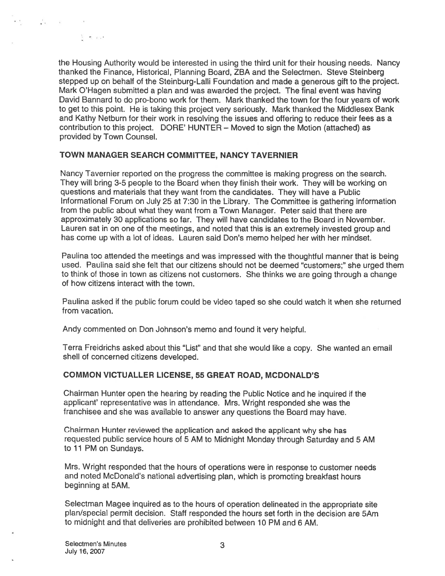state of the company

ੇ ਦੱਖ-ਦ

stepped up on behalf of the Steinburg-Lalli Foundation and made <sup>a</sup> generous gift to the project. Mark O'Hagen submitted <sup>a</sup> plan and was awarded the project. The final event was having David Bannard to do pro-bono work for them. Mark thanked the town for the four years of work to ge<sup>t</sup> to this point. He is taking this project very seriously. Mark thanked the Middlesex Bank and Kathy Netburn for their work in resolving the issues and offering to reduce their fees as <sup>a</sup> contribution to this project. DORE' HUNTER — Moved to sign the Motion (attached) as provided by Town Counsel.

### TOWN MANAGER SEARCH COMMITTEE, NANCY TAVERNIER

Nancy Tavernier reported on the progress the committee is making progress on the search. They will bring 3-5 people to the Board when they finish their work. They will be working on questions and materials that they want from the candidates. They will have <sup>a</sup> Public Informational Forum on July 25 at 7:30 in the Library. The Committee is gathering information from the public about what they want from <sup>a</sup> Town Manager. Peter said that there are approximately 30 applications so far. They will have candidates to the Board in November. Lauren sat in on one of the meetings, and noted that this is an extremely invested group and has come up with <sup>a</sup> lot of ideas. Lauren said Don's memo helped her with her mindset.

Paulina too attended the meetings and was impressed with the thoughtful manner that is being used. Paulina said she felt that our citizens should not be deemed "customers;" she urged them to think of those in town as citizens not customers. She thinks we are going through <sup>a</sup> change of how citizens interact with the town.

Paulina asked if the public forum could be video taped so she could watch it when she returned from vacation.

Andy commented on Don Johnson's memo and found it very helpful.

Terra Freidrichs asked about this "List" and that she would like <sup>a</sup> copy. She wanted an email shell of concerned citizens developed.

### COMMON VICTUALLER LICENSE, 55 GREAT ROAD, MCDONALD'S

Chairman Hunter open the hearing by reading the Public Notice and he inquired if the applicant' representative was in attendance. Mrs. Wright responded she was the franchisee and she was available to answer any questions the Board may have.

Chairman Hunter reviewed the application and asked the applicant why she has requested public service hours of <sup>5</sup> AM to Midnight Monday through Saturday and <sup>5</sup> AM to 11 PM on Sundays.

Mrs. Wright responded that the hours of operations were in response to customer needs and noted McDonald's national advertising <sup>p</sup>lan, which is promoting breakfast hours beginning at 5AM.

Selectman Magee inquired as to the hours of operation delineated in the appropriate site plan/special permit decision. Staff responded the hours set forth in the decision are 5Am to midnight and that deliveries are prohibited between 10 PM and 6 AM.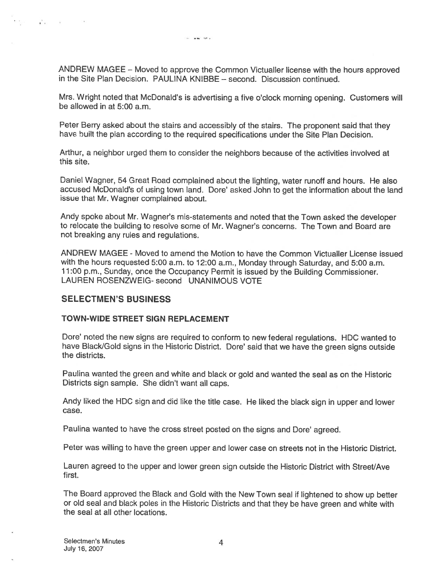$\sim$   $\sim$   $\sim$   $\sim$ 

ANDREW MAGEE — Moved to approve the Common Victualler license with the hours approved in the Site Plan Decision. PAULINA KNIBBE — second. Discussion continued.

Mrs. Wright noted that McDonald's is advertising <sup>a</sup> five <sup>o</sup>'clock morning opening. Customers will be allowed in at 5:00 a.m.

Peter Berry asked about the stairs and accessibly of the stairs. The proponen<sup>t</sup> said that they have built the <sup>p</sup>lan according to the required specifications under the Site Plan Decision.

Arthur, <sup>a</sup> neighbor urged them to consider the neighbors because of the activities involved at this site.

Daniel Wagner, 54 Great Road complained about the lighting, water runoff and hours. He also accused McDonald's of using town land. Dore' asked John to ge<sup>t</sup> the information about the land issue that Mr. Wagner complained about.

Andy spoke about Mr. Wagner's mis-statements and noted that the Town asked the developer to relocate the building to resolve some of Mr. Wagner's concerns. The Town and Board are not breaking any rules and regulations.

ANDREW MAGEE -Moved to amend the Motion to have the Common Victualler License issued with the hours requested 5:00 a.m. to 12:00 a.m., Monday through Saturday, and 5:00 a.m. <sup>1</sup> 1:00 p.m., Sunday, once the Occupancy Permit is issued by the Building Commissioner. LAUREN ROSENZWEIG- second UNANIMOUS VOTE

#### SELECTMEN'S BUSINESS

Notice and the second con-

#### TOWN-WIDE STREET SIGN REPLACEMENT

Dore' noted the new signs are required to conform to new federal regulations. HDC wanted to have Black/Gold signs in the Historic District. Dore' said that we have the green signs outside the districts.

Paulina wanted the green and white and black or gold and wanted the seal as on the Historic Districts sign sample. She didn't want all caps.

Andy liked the HDC sign and did like the title case. He liked the black sign in upper and lower case.

Paulina wanted to have the cross street posted on the signs and Dore' agreed.

Peter was willing to have the green upper and lower case on streets not in the Historic District.

Lauren agreed to the upper and lower green sign outside the Historic District with Street/Ave first.

The Board approved the Black and Gold with the New Town seal if lightened to show up better or old seal and black poles in the Historic Districts and that they be have green and white with the seal at all other locations.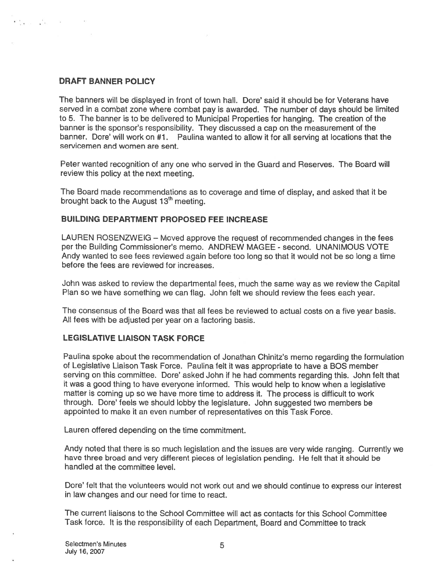### DRAFT BANNER POLICY

eng<sub>an m</sub>ang masa ma

The banners will be displayed in front of town hall. Dore' said it should be for Veterans have served in <sup>a</sup> combat zone where combat pay is awarded. The number of days should be limited to 5. The banner is to be delivered to Municipal Properties for hanging. The creation of the banner is the sponsor's responsibility. They discussed <sup>a</sup> cap on the measurement of the banner. Dore' will work on #1. Paulina wanted to allow it for all serving at locations that the servicemen and women are sent.

Peter wanted recognition of any one who served in the Guard and Reserves. The Board will review this policy at the next meeting.

The Board made recommendations as to coverage and time of display, and asked that it be brought back to the August 13<sup>th</sup> meeting.

#### BUILDING DEPARTMENT PROPOSED FEE INCREASE

LAUREN ROSENZWEIG — Moved approve the reques<sup>t</sup> of recommended changes in the fees per the Building Commissioner's memo. ANDREW MAGEE - second. UNANIMOUS VOTE Andy wanted to see fees reviewed again before too long so that it would not be so long <sup>a</sup> time before the fees are reviewed for increases.

John was asked to review the departmental fees, much the same way as we review the Capital Plan so we have something we can flag. John felt we should review the fees each year.

The consensus of the Board was that all fees be reviewed to actual costs on <sup>a</sup> five year basis. All fees with be adjusted per year on <sup>a</sup> factoring basis.

### LEGISLATIVE LIAISON TASK FORCE

Paulina spoke about the recommendation of Jonathan Chinitz's memo regarding the formulation of Legislative Liaison Task Force. Paulina felt it was appropriate to have <sup>a</sup> BOS member serving on this committee. Dore' asked John if he had comments regarding this. John felt that it was <sup>a</sup> good thing to have everyone informed. This would help to know when <sup>a</sup> legislative matter is coming up so we have more time to address it. The process is difficult to work through. Dore' feels we should lobby the legislature. John suggested two members be appointed to make it an even number of representatives on this Task Force.

Lauren offered depending on the time commitment.

Andy noted that there is so much legislation and the issues are very wide ranging. Currently we have three broad and very different <sup>p</sup>ieces of legislation pending. He felt that it should be handled at the committee level.

Dore' felt that the volunteers would not work out and we should continue to express our interest in law changes and our need for time to react.

The current liaisons to the School Committee will act as contacts for this School Committee Task force. It is the responsibility of each Department, Board and Committee to track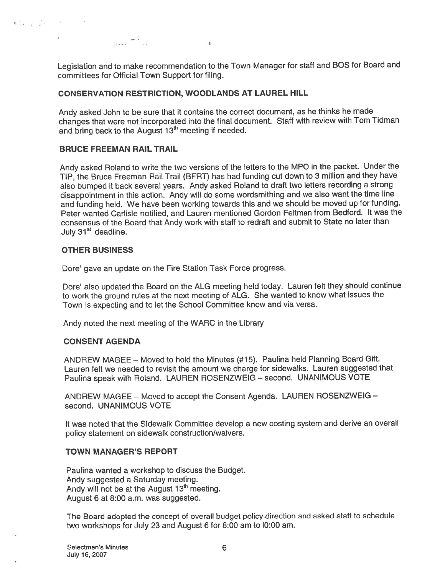Legislation and to make recommendation to the Town Manager for staff and BOS for Board and committees for Official Town Support for tiling.

 $\epsilon$ 

### CONSERVATION RESTRICTION, WOODLANDS AT LAUREL HILL

 $\mathcal{L} = \mathcal{L} \mathcal{L}$  . The set of the set of the set of the set of the set of the set of the set of the set of the set of the set of the set of the set of the set of the set of the set of the set of the set of the set of

Andy asked John to be sure that it contains the correct document, as he thinks he made changes that were not incorporated into the final document. Staff with review with Tom Tidman and bring back to the August 13<sup>th</sup> meeting if needed.

#### BRUCE FREEMAN RAIL TRAIL

Andy asked Roland to write the two versions of the letters to the MPO in the packet. Under the TIP, the Bruce Freeman Rail Trail (BERT) has had funding cut down to <sup>3</sup> million and they have also bumped it back several years. Andy asked Roland to draft two letters recording <sup>a</sup> strong disappointment in this action. Andy will do some wordsmithing and we also want the time line and funding held. We have been working towards this and we should be moved up for funding. Peter wanted Carlisle notified, and Lauren mentioned Gordon Feitman from Bedford. It was the consensus of the Board that Andy work with staff to redraft and submit to State no later than July 31<sup>st</sup> deadline.

#### OTHER BUSINESS

 $\mathbf{C}_{\text{eff}}$  ,  $\mathbf{C}_{\text{eff}}$  ,  $\mathbf{C}_{\text{eff}}$ 

Dore' gave an update on the Fire Station Task Force progress.

Dore' also updated the Board on the ALG meeting held today. Lauren felt they should continue to work the groun<sup>d</sup> rules at the next meeting of ALG. She wanted to know what issues the Town is expecting and to let the School Committee know and via versa.

Andy noted the next meeting of the WARC in the Library

#### CONSENT AGENDA

ANDREW MAGEE — Moved to hold the Minutes (#15). Paulina held Planning Board Gift. Lauren felt we needed to revisit the amount we charge for sidewalks. Lauren suggested that Paulina spea<sup>k</sup> with Roland. LAUREN ROSENZWEIG — second. UNANIMOUS VOTE

ANDREW MAGEE — Moved to accep<sup>t</sup> the Consent Agenda. LAUREN ROSENZWEIG second. UNANIMOUS VOTE

It was noted that the Sidewalk Committee develop <sup>a</sup> new costing system and derive an overall policy statement on sidewalk construction/waivers.

#### TOWN MANAGER'S REPORT

Paulina wanted <sup>a</sup> workshop to discuss the Budget. Andy suggested <sup>a</sup> Saturday meeting. Andy will not be at the August 13<sup>th</sup> meeting. August 6 at 8:00 a.m. was suggested.

The Board adopted the concep<sup>t</sup> of overall budget policy direction and asked staff to schedule two workshops for July 23 and August <sup>6</sup> for 8:00 am to 10:00 am.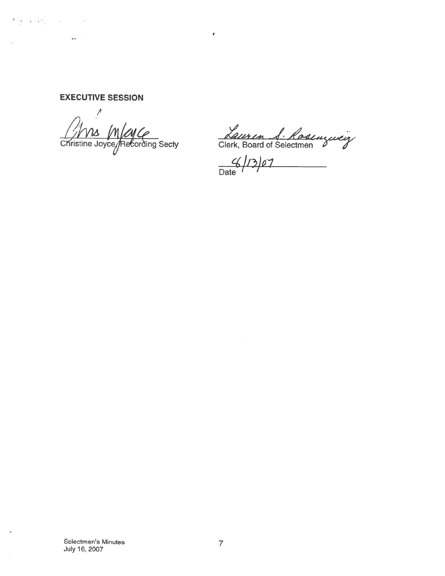EXECUTIVE SESSION

والمترافي والمتواطأ

 $\mathcal{L}^{\text{max}}$  . The  $\mathcal{L}^{\text{max}}$ 

 $\mathbf{u} = \mathbf{u}$ 

This Mayce<br>Christine Joyce/Refording Secty Clerk, Board of Selectmen

 $G(13)07$  $\overline{\phantom{a}}$ 

 $\pmb{\tau}$ 

 $\blacksquare$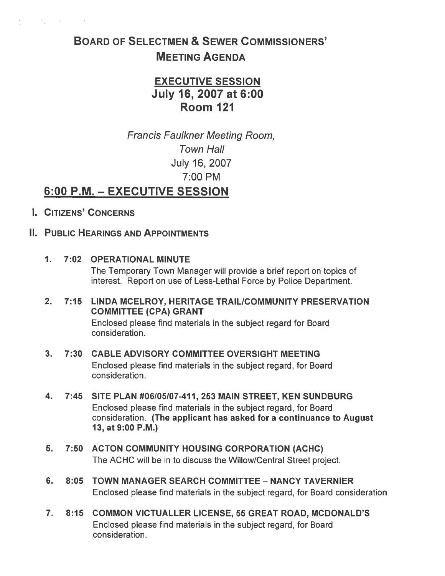# BOARD OF SELECTMEN & SEWER COMMISSIONERS' MEETING AGENDA

# EXECUTIVE SESSION July 16, 2007 at 6:00 Room 121

Francis Faulkner Meeting Room, Town Hall July 16, 2007 7:00 PM

# 6:00 P.M. — EXECUTIVE SESSION

I. CITIZENS' CONCERNS

 $\mathcal{R}_1 = \{x_1, \ldots, x_n\} \subset \mathbb{N}$ 

# II. PUBLIC HEARINGS AND APPOINTMENTS

- 1. 7:02 OPERATIONAL MINUTE The Temporary Town Manager will provide <sup>a</sup> brief repor<sup>t</sup> on topics of interest. Report on use of Less-Lethal Force by Police Department.
- 2. 7:15 LINDA MCELROY, HERITAGE TRAIL/COMMUNITY PRESERVATION COMMITTEE (CPA) GRANT Enclosed please find materials in the subject regard for Board consideration.

# 3. 7:30 CABLE ADVISORY COMMITTEE OVERSIGHT MEETING Enclosed please find materials in the subject regard, for Board consideration.

- 4. 7:45 SITE PLAN #06/05/07-411, 253 MAIN STREET, KEN SUNDBURG Enclosed please find materials in the subject regard, for Board consideration. (The applicant has asked for <sup>a</sup> continuance to August 13, at 9:00 P.M.)
- 5. 7:50 ACTON COMMUNITY HOUSING CORPORATION (ACHC) The ACHC will be in to discuss the Willow/Central Street project.
- 6. 8:05 TOWN MANAGER SEARCH COMMITTEE NANCY TAVERNIER Enclosed please find materials in the subject regard, for Board consideration
- 7. 8:15 COMMON VICTUALLER LICENSE, 55 GREAT ROAD, MCDONALD'S Enclosed please find materials in the subject regard, for Board consideration.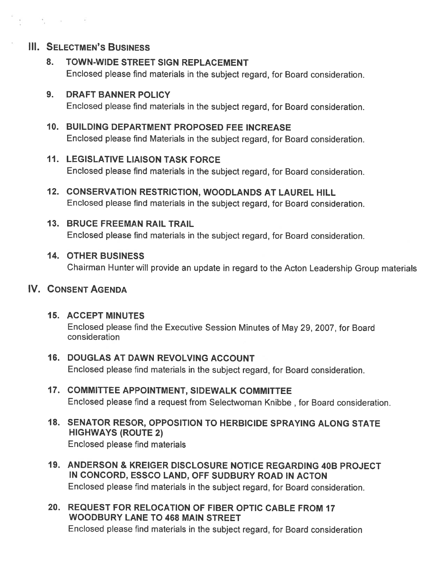# **III. SELECTMEN'S BUSINESS**

 $\mathcal{C}^{\mathcal{C}}$  , where  $\mathcal{C}^{\mathcal{C}}$  , and  $\mathcal{C}^{\mathcal{C}}$ 

# 8. TOWN-WIDE STREET SIGN REPLACEMENT

Enclosed <sup>p</sup>lease find materials in the subject regard, for Board consideration.

# 9. DRAFT BANNER POLICY

Enclosed <sup>p</sup>lease find materials in the subject regard, for Board consideration.

# 10. BUILDING DEPARTMENT PROPOSED FEE INCREASE

Enclosed <sup>p</sup>lease find Materials in the subject regard, for Board consideration.

# 11. LEGISLATIVE LIAISON TASK FORCE

Enclosed <sup>p</sup>lease find materials in the subject regard, for Board consideration.

12. CONSERVATION RESTRICTION, WOODLANDS AT LAUREL HILL Enclosed <sup>p</sup>lease find materials in the subject regard, for Board consideration.

# 13. BRUCE FREEMAN RAIL TRAIL

Enclosed <sup>p</sup>lease find materials in the subject regard, for Board consideration.

# 14. OTHER BUSINESS

Chairman Hunter will provide an update in regar<sup>d</sup> to the Acton Leadership Group materials

# IV. CONSENT AGENDA

## 15. ACCEPT MINUTES

Enclosed <sup>p</sup>lease find the Executive Session Minutes of May 29, 2007, for Board consideration

## 16. DOUGLAS AT DAWN REVOLVING ACCOUNT Enclosed <sup>p</sup>lease find materials in the subject regard, for Board consideration.

- 17. COMMITTEE APPOINTMENT, SIDEWALK COMMITTEE Enclosed please find <sup>a</sup> reques<sup>t</sup> from Selectwoman Knibbe , for Board consideration.
- 18. SENATOR RESOR, OPPOSITION TO HERBICIDE SPRAYING ALONG STATE HIGHWAYS (ROUTE 2) Enclosed please find materials
- 19. ANDERSON & KREIGER DISCLOSURE NOTICE REGARDING 40B PROJECT IN CONCORD, ESSCO LAND, OFF SUDBURY ROAD IN ACTON Enclosed <sup>p</sup>lease find materials in the subject regard, for Board consideration.
- 20. REQUEST FOR RELOCATION OF FIBER OPTIC CABLE FROM 17 WOODBURY LANE TO 468 MAIN STREET Enclosed <sup>p</sup>lease find materials in the subject regard, for Board consideration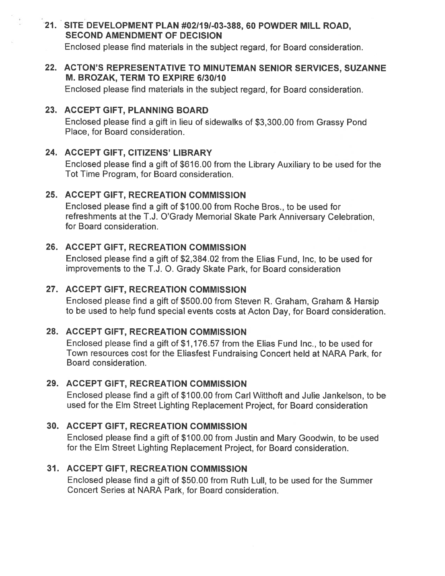# 21. SITE DEVELOPMENT PLAN #021191-03-388, 60 POWDER MILL ROAD, SECOND AMENDMENT OF DECISION

Enclosed please find materials in the subject regard, for Board consideration.

### 22. ACTON'S REPRESENTATIVE TO MINUTEMAN SENIOR SERVICES, SUZANNE M. BROZAK, TERM TO EXPIRE 6/30/10

Enclosed please find materials in the subject regard, for Board consideration.

### 23. ACCEPT GIFT, PLANNING BOARD

Enclosed <sup>p</sup>lease find <sup>a</sup> <sup>g</sup>ift in lieu of sidewalks of \$3,300.00 from Grassy Pond Place, for Board consideration.

## 24. ACCEPT GIFT, CITIZENS' LIBRARY

Enclosed <sup>p</sup>lease find <sup>a</sup> <sup>g</sup>ift of \$616.00 from the Library Auxiliary to be used for the Tot Time Program, for Board consideration.

## 25. ACCEPT GIFT, RECREATION COMMISSION

Enclosed please find <sup>a</sup> gift of \$100.00 from Roche Bros., to be used for refreshments at the T.J. O'Grady Memorial Skate Park Anniversary Celebration, for Board consideration.

# 26. ACCEPT GIFT, RECREATION COMMISSION

Enclosed please find <sup>a</sup> gift of \$2,384.02 from the Elias Fund, Inc, to be used for improvements to the T.J. 0. Grady Skate Park, for Board consideration

# 27. ACCEPT GIFT, RECREATION COMMISSION

Enclosed <sup>p</sup>lease find <sup>a</sup> <sup>g</sup>ift of \$500.00 from Steven R. Graham, Graham & Harsip to be used to help fund special events costs at Acton Day, for Board consideration.

# 2\$. ACCEPT GIFT, RECREATION COMMISSION

Enclosed please find <sup>a</sup> gift of \$1,176.57 from the Elias Fund Inc., to be used for Town resources cost for the Eliasfest Fundraising Concert held at NARA Park, for Board consideration.

## 29. ACCEPT GIFT, RECREATION COMMISSION

Enclosed please find <sup>a</sup> gift of \$100.00 from Carl Witthoft and Julie Jankelson, to be used for the Elm Street Lighting Replacement Project, for Board consideration

## 30. ACCEPT GIFT, RECREATION COMMISSION

Enclosed <sup>p</sup>lease find <sup>a</sup> <sup>g</sup>ift of \$100.00 from Justin and Mary Goodwin, to be used for the Elm Street Lighting Replacement Project, for Board consideration.

## 31. ACCEPT GIFT, RECREATION COMMISSION

Enclosed please find <sup>a</sup> gift of \$50.00 from Ruth Lull, to be used for the Summer Concert Series at NARA Park, for Board consideration.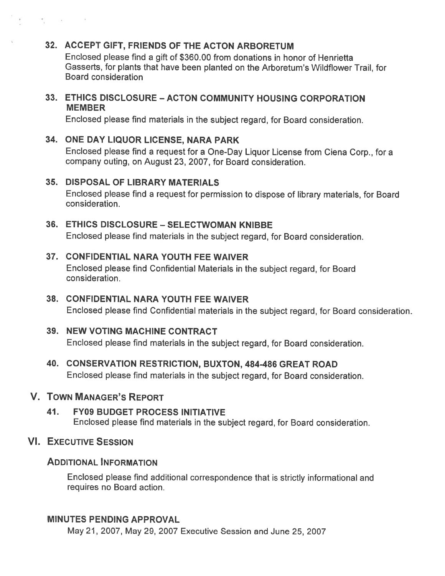# 32. ACCEPT GIFT, FRIENDS OF THE ACTON ARBORETUM

Enclosed please find <sup>a</sup> gift of \$360.00 from donations in honor of Henrietta Gasserts, for <sup>p</sup>lants that have been <sup>p</sup>lanted on the Arboretum's Wildflower Trail, for Board consideration

### 33. ETHICS DISCLOSURE — ACTON COMMUNITY HOUSING CORPORATION MEMBER

Enclosed <sup>p</sup>lease find materials in the subject regard, for Board consideration.

## 34. ONE DAY LIQUOR LICENSE, NARA PARK

Enclosed <sup>p</sup>lease find <sup>a</sup> reques<sup>t</sup> for <sup>a</sup> One-Day Liquor License from Ciena Corp., for <sup>a</sup> company outing, on August 23, 2007, for Board consideration.

# 35. DISPOSAL OF LIBRARY MATERIALS

Enclosed <sup>p</sup>lease find <sup>a</sup> reques<sup>t</sup> for permission to dispose of library materials, for Board consideration.

# 36. ETHICS DISCLOSURE - SELECTWOMAN KNIBBE

Enclosed <sup>p</sup>lease find materials in the subject regard, for Board consideration.

### 37. CONFIDENTIAL NARA YOUTH FEE WAIVER

Enclosed <sup>p</sup>lease find Confidential Materials in the subject regard, for Board consideration.

### 38. CONFIDENTIAL NARA YOUTH FEE WAIVER Enclosed <sup>p</sup>lease find Confidential materials in the subject regard, for Board consideration.

## 39. NEW VOTING MACHINE CONTRACT

Enclosed <sup>p</sup>lease find materials in the subject regard, for Board consideration.

40. CONSERVATION RESTRICTION, BUXTON, 484-486 GREAT ROAD Enclosed <sup>p</sup>lease find materials in the subject regard, for Board consideration.

# V. TOWN MANAGER'S REPORT

### 41. FY09 BUDGET PROCESS INITIATIVE Enclosed <sup>p</sup>lease find materials in the subject regard, for Board consideration.

# VI. EXECUTIVE SESSION

 $\mathcal{A}_\text{max}$  . The contract of the contract of the contract of the contract of the contract of the contract of the contract of the contract of the contract of the contract of the contract of the contract of the contract

## ADDITIONAL INFORMATION

Enclosed <sup>p</sup>lease find additional correspondence that is strictly informational and requires no Board action.

## MINUTES PENDING APPROVAL

May 21, 2007, May 29, 2007 Executive Session and June 25, 2007